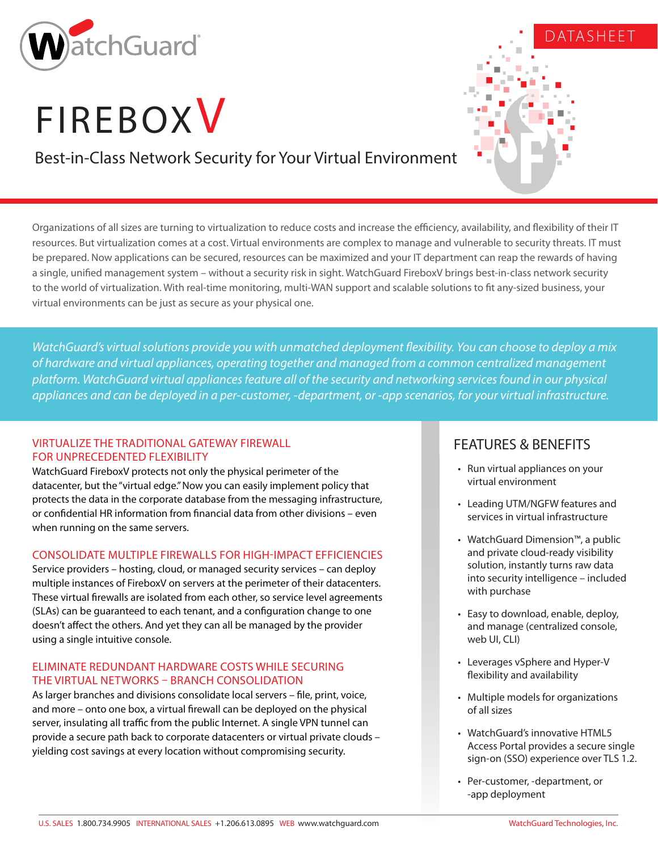

# **FIREBOXV**

Best-in-Class Network Security for Your Virtual Environment

Organizations of all sizes are turning to virtualization to reduce costs and increase the efficiency, availability, and flexibility of their IT resources. But virtualization comes at a cost. Virtual environments are complex to manage and vulnerable to security threats. IT must be prepared. Now applications can be secured, resources can be maximized and your IT department can reap the rewards of having a single, unified management system – without a security risk in sight. WatchGuard FireboxV brings best-in-class network security to the world of virtualization. With real-time monitoring, multi-WAN support and scalable solutions to fit any-sized business, your virtual environments can be just as secure as your physical one.

*WatchGuard's virtual solutions provide you with unmatched deployment flexibility. You can choose to deploy a mix of hardware and virtual appliances, operating together and managed from a common centralized management platform. WatchGuard virtual appliances feature all of the security and networking services found in our physical appliances and can be deployed in a per-customer, -department, or -app scenarios, for your virtual infrastructure.*

## VIRTUALIZE THE TRADITIONAL GATEWAY FIREWALL FOR UNPRECEDENTED FLEXIBILITY

WatchGuard FireboxV protects not only the physical perimeter of the datacenter, but the "virtual edge." Now you can easily implement policy that protects the data in the corporate database from the messaging infrastructure, or confidential HR information from financial data from other divisions – even when running on the same servers.

# CONSOLIDATE MULTIPLE FIREWALLS FOR HIGH-IMPACT EFFICIENCIES

Service providers – hosting, cloud, or managed security services – can deploy multiple instances of FireboxV on servers at the perimeter of their datacenters. These virtual firewalls are isolated from each other, so service level agreements (SLAs) can be guaranteed to each tenant, and a configuration change to one doesn't affect the others. And yet they can all be managed by the provider using a single intuitive console.

### ELIMINATE REDUNDANT HARDWARE COSTS WHILE SECURING THE VIRTUAL NETWORKS – BRANCH CONSOLIDATION

As larger branches and divisions consolidate local servers – file, print, voice, and more – onto one box, a virtual firewall can be deployed on the physical server, insulating all traffic from the public Internet. A single VPN tunnel can provide a secure path back to corporate datacenters or virtual private clouds – yielding cost savings at every location without compromising security.

# FEATURES & BENEFITS

• Run virtual appliances on your virtual environment

DATASHEET

- Leading UTM/NGFW features and services in virtual infrastructure
- WatchGuard Dimension™, a public and private cloud-ready visibility solution, instantly turns raw data into security intelligence – included with purchase
- Easy to download, enable, deploy, and manage (centralized console, web UI, CLI)
- Leverages vSphere and Hyper-V flexibility and availability
- Multiple models for organizations of all sizes
- WatchGuard's innovative HTML5 Access Portal provides a secure single sign-on (SSO) experience over TLS 1.2.
- Per-customer, -department, or -app deployment